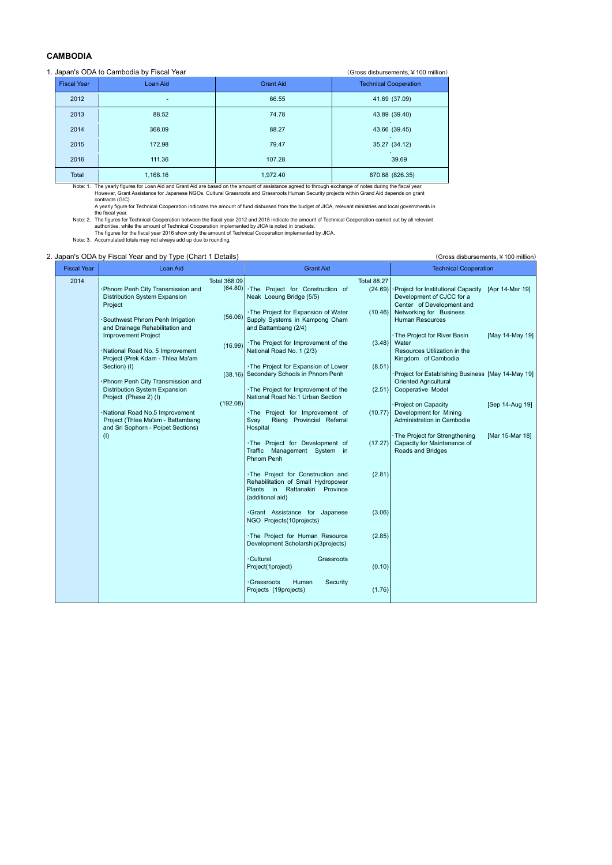## **CAMBODIA**

## 1. Japan's ODA to Cambodia by Fiscal Year (Gross disbursements, ¥100 million)

| <b>Fiscal Year</b> | Loan Aid | <b>Grant Aid</b> | <b>Technical Cooperation</b>       |
|--------------------|----------|------------------|------------------------------------|
| 2012               | ۰        | 66.55            | 41.69 (37.09)                      |
| 2013               | 88.52    | 74.78            | 43.89 (39.40)<br><b>College</b>    |
| 2014               | 368.09   | 88.27            | 43.66 (39.45)<br><b>Contractor</b> |
| 2015               | 172.98   | 79.47            | 35.27 (34.12)                      |
| 2016               | 111.36   | 107.28           | 39.69                              |
| Total              | 1,168.16 | 1,972.40         | 870.68 (826.35)                    |

Note: 1. The yearly figures for Loan Aid and Grant Aid are based on the amount of assistance agreed to through exchange of notes during the fiscal year.<br>However, Grant Assistance for Japanese NGOs, Cultural Grassroots and

|                    |                                                                                                                                                                                                                                                                                                                                                                                                                                                                                                                                                          | (Gross disbursements, ¥ 100 million)                      |                                                                                                                                                                                                                                                                                                                                                                                                                                                                                                                                                                                                                                                                                                                                                                                                                                                   |                                                                                                                            |                                                                                                                                                                                                                                                                                                                                                                                                                                                                                                                             |                                                                          |  |  |
|--------------------|----------------------------------------------------------------------------------------------------------------------------------------------------------------------------------------------------------------------------------------------------------------------------------------------------------------------------------------------------------------------------------------------------------------------------------------------------------------------------------------------------------------------------------------------------------|-----------------------------------------------------------|---------------------------------------------------------------------------------------------------------------------------------------------------------------------------------------------------------------------------------------------------------------------------------------------------------------------------------------------------------------------------------------------------------------------------------------------------------------------------------------------------------------------------------------------------------------------------------------------------------------------------------------------------------------------------------------------------------------------------------------------------------------------------------------------------------------------------------------------------|----------------------------------------------------------------------------------------------------------------------------|-----------------------------------------------------------------------------------------------------------------------------------------------------------------------------------------------------------------------------------------------------------------------------------------------------------------------------------------------------------------------------------------------------------------------------------------------------------------------------------------------------------------------------|--------------------------------------------------------------------------|--|--|
| <b>Fiscal Year</b> | Loan Aid                                                                                                                                                                                                                                                                                                                                                                                                                                                                                                                                                 |                                                           | <b>Grant Aid</b>                                                                                                                                                                                                                                                                                                                                                                                                                                                                                                                                                                                                                                                                                                                                                                                                                                  |                                                                                                                            |                                                                                                                                                                                                                                                                                                                                                                                                                                                                                                                             | <b>Technical Cooperation</b>                                             |  |  |
| 2014               | 2. Japan's ODA by Fiscal Year and by Type (Chart 1 Details)<br>Phnom Penh City Transmission and<br>Distribution System Expansion<br>Project<br>Southwest Phnom Penh Irrigation<br>and Drainage Rehabilitation and<br><b>Improvement Project</b><br>National Road No. 5 Improvement<br>Project (Prek Kdam - Thlea Ma'am<br>Section) (I)<br>Phnom Penh City Transmission and<br>Distribution System Expansion<br>Project (Phase 2) (I)<br>National Road No.5 Improvement<br>Project (Thlea Ma'am - Battambang<br>and Sri Sophorn - Poipet Sections)<br>(1) | Total 368.09<br>(64.80)<br>(56.06)<br>(16.99)<br>(192.08) | ·The Project for Construction of<br>Neak Loeung Bridge (5/5)<br>· The Project for Expansion of Water<br>Supply Systems in Kampong Cham<br>and Battambang (2/4)<br>· The Project for Improvement of the<br>National Road No. 1 (2/3)<br>· The Project for Expansion of Lower<br>(38.16) Secondary Schools in Phnom Penh<br>· The Project for Improvement of the<br>National Road No.1 Urban Section<br>·The Project for Improvement of<br>Svay<br>Rieng Provincial Referral<br>Hospital<br>·The Project for Development of<br>Traffic Management System in<br>Phnom Penh<br>· The Project for Construction and<br>Rehabilitation of Small Hydropower<br>Plants in Rattanakiri Province<br>(additional aid)<br>·Grant Assistance for Japanese<br>NGO Projects (10projects)<br>·The Project for Human Resource<br>Development Scholarship(3projects) | <b>Total 88.27</b><br>(24.69)<br>(10.46)<br>(3.48)<br>(8.51)<br>(2.51)<br>(10.77)<br>(17.27)<br>(2.81)<br>(3.06)<br>(2.85) | · Project for Institutional Capacity<br>Development of CJCC for a<br>Center of Development and<br>Networking for Business<br><b>Human Resources</b><br>· The Project for River Basin<br>Water<br>Resources Utilization in the<br>Kingdom of Cambodia<br>Project for Establishing Business [May 14-May 19]<br>Oriented Agricultural<br>Cooperative Model<br>Project on Capacity<br>Development for Mining<br>Administration in Cambodia<br>The Project for Strengthening<br>Capacity for Maintenance of<br>Roads and Bridges | [Apr 14-Mar 19]<br>[May 14-May 19]<br>[Sep 14-Aug 19]<br>[Mar 15-Mar 18] |  |  |
|                    |                                                                                                                                                                                                                                                                                                                                                                                                                                                                                                                                                          |                                                           | · Cultural<br>Grassroots<br>Project(1project)<br>Security<br>· Grassroots<br>Human<br>Projects (19projects)                                                                                                                                                                                                                                                                                                                                                                                                                                                                                                                                                                                                                                                                                                                                       | (0.10)<br>(1.76)                                                                                                           |                                                                                                                                                                                                                                                                                                                                                                                                                                                                                                                             |                                                                          |  |  |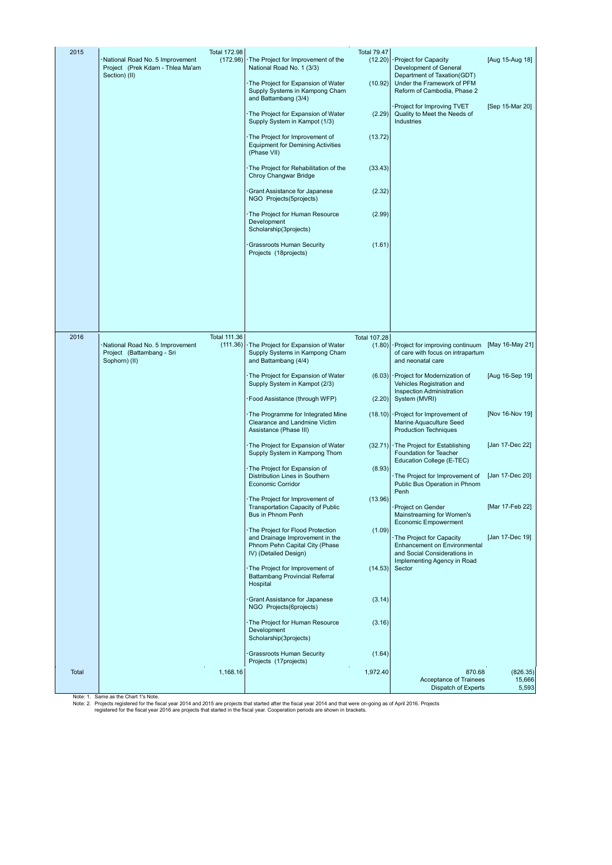| 2015  | National Road No. 5 Improvement<br>Project (Prek Kdam - Thlea Ma'am<br>Section) (II) | <b>Total 172.98</b><br>(172.98) | The Project for Improvement of the<br>National Road No. 1 (3/3)<br>The Project for Expansion of Water<br>Supply Systems in Kampong Cham<br>and Battambang (3/4) | <b>Total 79.47</b><br>(12.20)<br>(10.92) | Project for Capacity<br>Development of General<br>Department of Taxation(GDT)<br>Under the Framework of PFM<br>Reform of Cambodia, Phase 2 | [Aug 15-Aug 18]             |
|-------|--------------------------------------------------------------------------------------|---------------------------------|-----------------------------------------------------------------------------------------------------------------------------------------------------------------|------------------------------------------|--------------------------------------------------------------------------------------------------------------------------------------------|-----------------------------|
|       |                                                                                      |                                 | The Project for Expansion of Water<br>Supply System in Kampot (1/3)                                                                                             | (2.29)                                   | Project for Improving TVET<br>Quality to Meet the Needs of<br>Industries                                                                   | [Sep 15-Mar 20]             |
|       |                                                                                      |                                 | The Project for Improvement of<br><b>Equipment for Demining Activities</b><br>(Phase VII)                                                                       | (13.72)                                  |                                                                                                                                            |                             |
|       |                                                                                      |                                 | The Project for Rehabilitation of the<br>Chroy Changwar Bridge                                                                                                  | (33.43)                                  |                                                                                                                                            |                             |
|       |                                                                                      |                                 | Grant Assistance for Japanese<br>NGO Projects(5projects)                                                                                                        | (2.32)                                   |                                                                                                                                            |                             |
|       |                                                                                      |                                 | The Project for Human Resource<br>Development<br>Scholarship(3projects)                                                                                         | (2.99)                                   |                                                                                                                                            |                             |
|       |                                                                                      |                                 | <b>Grassroots Human Security</b><br>Projects (18projects)                                                                                                       | (1.61)                                   |                                                                                                                                            |                             |
|       |                                                                                      |                                 |                                                                                                                                                                 |                                          |                                                                                                                                            |                             |
|       |                                                                                      |                                 |                                                                                                                                                                 |                                          |                                                                                                                                            |                             |
|       |                                                                                      |                                 |                                                                                                                                                                 |                                          |                                                                                                                                            |                             |
| 2016  | National Road No. 5 Improvement<br>Project (Battambang - Sri<br>Sophorn) (II)        | <b>Total 111.36</b><br>(111.36) | The Project for Expansion of Water<br>Supply Systems in Kampong Cham<br>and Battambang (4/4)                                                                    | <b>Total 107.28</b><br>(1.80)            | Project for improving continuum [May 16-May 21]<br>of care with focus on intrapartum<br>and neonatal care                                  |                             |
|       |                                                                                      |                                 | The Project for Expansion of Water<br>Supply System in Kampot (2/3)                                                                                             | (6.03)                                   | Project for Modernization of<br>Vehicles Registration and<br>Inspection Administration                                                     | [Aug 16-Sep 19]             |
|       |                                                                                      |                                 | Food Assistance (through WFP)                                                                                                                                   | (2.20)                                   | System (MVRI)                                                                                                                              |                             |
|       |                                                                                      |                                 | The Programme for Integrated Mine<br>Clearance and Landmine Victim<br>Assistance (Phase III)                                                                    | (18.10)                                  | Project for Improvement of<br>Marine Aquaculture Seed<br><b>Production Techniques</b>                                                      | [Nov 16-Nov 19]             |
|       |                                                                                      |                                 | The Project for Expansion of Water<br>Supply System in Kampong Thom                                                                                             | (32.71)                                  | The Project for Establishing<br>Foundation for Teacher<br>Education College (E-TEC)                                                        | [Jan 17-Dec 22]             |
|       |                                                                                      |                                 | The Project for Expansion of<br>Distribution Lines in Southern<br><b>Economic Corridor</b>                                                                      | (8.93)                                   | The Project for Improvement of<br>Public Bus Operation in Phnom<br>Penh                                                                    | [Jan 17-Dec 20]             |
|       |                                                                                      |                                 | The Project for Improvement of<br>Transportation Capacity of Public<br>Bus in Phnom Penh                                                                        | (13.96)                                  | Project on Gender<br>Mainstreaming for Women's<br>Economic Empowerment                                                                     | [Mar 17-Feb 22]             |
|       |                                                                                      |                                 | The Project for Flood Protection<br>and Drainage Improvement in the<br>Phnom Pehn Capital City (Phase<br>IV) (Detailed Design)                                  | (1.09)                                   | The Project for Capacity<br>Enhancement on Environmental<br>and Social Considerations in                                                   | [Jan 17-Dec 19]             |
|       |                                                                                      |                                 | The Project for Improvement of<br>Battambang Provincial Referral<br>Hospital                                                                                    | (14.53)                                  | Implementing Agency in Road<br>Sector                                                                                                      |                             |
|       |                                                                                      |                                 | Grant Assistance for Japanese<br>NGO Projects(6projects)                                                                                                        | (3.14)                                   |                                                                                                                                            |                             |
|       |                                                                                      |                                 | The Project for Human Resource<br>Development<br>Scholarship(3projects)                                                                                         | (3.16)                                   |                                                                                                                                            |                             |
|       |                                                                                      |                                 | <b>Grassroots Human Security</b><br>Projects (17projects)                                                                                                       | (1.64)                                   |                                                                                                                                            |                             |
| Total |                                                                                      | 1,168.16                        |                                                                                                                                                                 | 1,972.40                                 | 870.68<br>Acceptance of Trainees<br>Dispatch of Experts                                                                                    | (826.35)<br>15,666<br>5,593 |

Note: 1. Same as the Chart 1's Note.<br>Note: 2. Projects registered for the fiscal year 2014 and 2015 are projects that started after the fiscal year 2014 and that were on-going as of April 2016. Projects<br>Note: 2. Pregistere